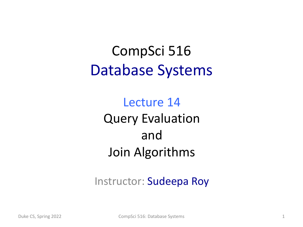### CompSci 516 Database Systems

Lecture 14 Query Evaluation and Join Algorithms

Instructor: Sudeepa Roy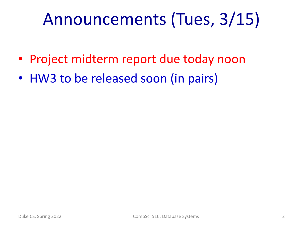# Announcements (Tues, 3/15)

- Project midterm report due today noon
- HW3 to be released soon (in pairs)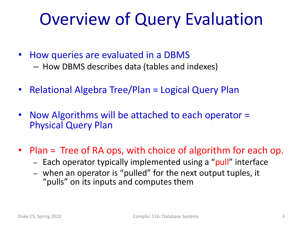# Overview of Query Evaluation

- How queries are evaluated in a DBMS
	- How DBMS describes data (tables and indexes)
- Relational Algebra Tree/Plan = Logical Query Plan
- Now Algorithms will be attached to each operator = Physical Query Plan
- Plan = Tree of RA ops, with choice of algorithm for each op.
	- Each operator typically implemented using a "pull" interface
	- when an operator is "pulled" for the next output tuples, it "pulls" on its inputs and computes them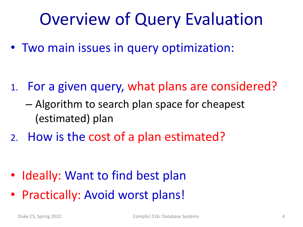# Overview of Query Evaluation

• Two main issues in query optimization:

- 1. For a given query, what plans are considered?
	- Algorithm to search plan space for cheapest (estimated) plan
- 2. How is the cost of a plan estimated?

- Ideally: Want to find best plan
- Practically: Avoid worst plans!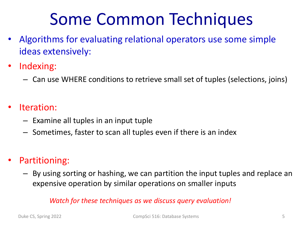# Some Common Techniques

- Algorithms for evaluating relational operators use some simple ideas extensively:
- Indexing:
	- Can use WHERE conditions to retrieve small set of tuples (selections, joins)
- Iteration:
	- Examine all tuples in an input tuple
	- Sometimes, faster to scan all tuples even if there is an index
- Partitioning:
	- By using sorting or hashing, we can partition the input tuples and replace an expensive operation by similar operations on smaller inputs

#### *Watch for these techniques as we discuss query evaluation!*

Duke CS, Spring 2022 CompSci 516: Database Systems 5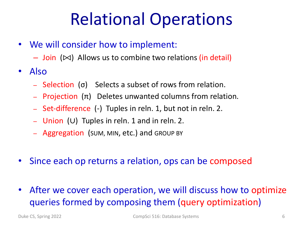# Relational Operations

- We will consider how to implement:
	- $-$  Join ( $\bowtie$ ) Allows us to combine two relations (in detail)
- Also
	- Selection (σ) Selects a subset of rows from relation.
	- Projection (π) Deletes unwanted columns from relation.
	- Set-difference (-) Tuples in reln. 1, but not in reln. 2.
	- Union (∪) Tuples in reln. 1 and in reln. 2.
	- Aggregation (SUM, MIN, etc.) and GROUP BY
- Since each op returns a relation, ops can be composed
- After we cover each operation, we will discuss how to optimize queries formed by composing them (query optimization)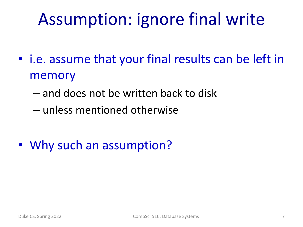# Assumption: ignore final write

- i.e. assume that your final results can be left in memory
	- and does not be written back to disk
	- unless mentioned otherwise
- Why such an assumption?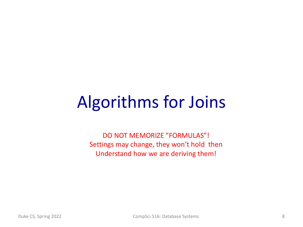# Algorithms for Joins

DO NOT MEMORIZE "FORMULAS"! Settings may change, they won't hold then Understand how we are deriving them!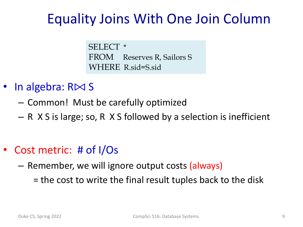#### Equality Joins With One Join Column

SELECT \* FROM Reserves R, Sailors S WHERE R.sid=S.sid

- In algebra:  $R\bowtie S$ 
	- Common! Must be carefully optimized
	- R X S is large; so, R X S followed by a selection is inefficient
- Cost metric: # of I/Os
	- Remember, we will ignore output costs (always)
		- = the cost to write the final result tuples back to the disk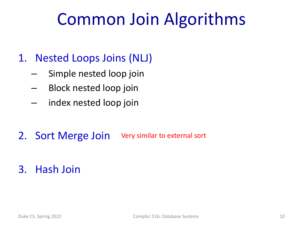# Common Join Algorithms

#### 1. Nested Loops Joins (NLJ)

- Simple nested loop join
- Block nested loop join
- index nested loop join
- 2. Sort Merge Join Very similar to external sort

#### 3. Hash Join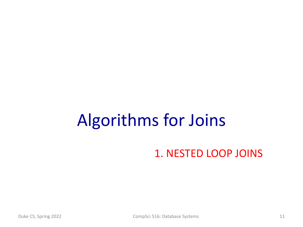# Algorithms for Joins

#### 1. NESTED LOOP JOINS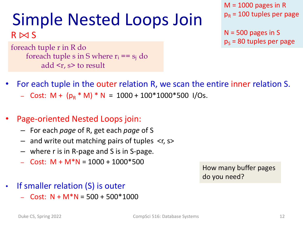# Simple Nested Loops Join

 $R \bowtie S$ 

foreach tuple r in R do foreach tuple s in S where  $r_i == s_i$  do add  $\leq r$ , s> to result

 $M = 1000$  pages in R  $p_R$  = 100 tuples per page

 $N = 500$  pages in S  $p_s$  = 80 tuples per page

- For each tuple in the outer relation R, we scan the entire inner relation S.
	- $-$  Cost: M + (p<sub>R</sub>  $*$  M)  $*$  N = 1000 + 100 $*$ 1000 $*$ 500 I/Os.
- Page-oriented Nested Loops join:
	- For each *page* of R, get each *page* of S
	- $-$  and write out matching pairs of tuples  $\leq r$ , s>
	- where r is in R-page and S is in S-page.
	- $-$  Cost: M + M<sup>\*</sup>N = 1000 + 1000<sup>\*</sup>500

How many buffer pages do you need?

- If smaller relation (S) is outer
	- Cost:  $N + M^*N = 500 + 500^*1000$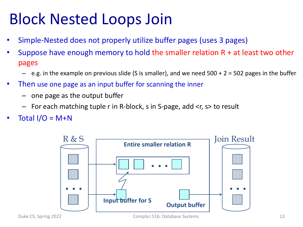### Block Nested Loops Join

- Simple-Nested does not properly utilize buffer pages (uses 3 pages)
- Suppose have enough memory to hold the smaller relation  $R + at$  least two other pages
	- $-$  e.g. in the example on previous slide (S is smaller), and we need  $500 + 2 = 502$  pages in the buffer
- Then use one page as an input buffer for scanning the inner
	- one page as the output buffer
	- For each matching tuple r in R-block, s in S-page, add <r, s> to result
- Total  $I/O = M+N$



Duke CS, Spring 2022 CompSci 516: Database Systems 13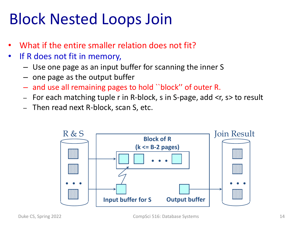#### Block Nested Loops Join

- What if the entire smaller relation does not fit?
- If R does not fit in memory,
	- Use one page as an input buffer for scanning the inner S
	- one page as the output buffer
	- and use all remaining pages to hold ``block'' of outer R.
	- For each matching tuple r in R-block, s in S-page, add <r, s> to result
	- Then read next R-block, scan S, etc.

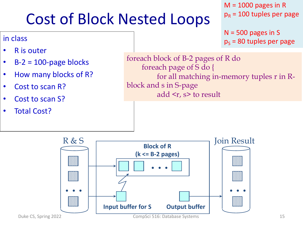### Cost of Block Nested Loops

#### $M = 1000$  pages in R  $p_R$  = 100 tuples per page

 $N = 500$  pages in S  $p_s$  = 80 tuples per page

• R is outer

in class

- $\cdot$  B-2 = 100-page blocks
- How many blocks of R?
- Cost to scan R?
- Cost to scan S?
- **Total Cost?**

foreach block of B-2 pages of R do foreach page of S do { for all matching in-memory tuples r in Rblock and s in S-page add  $\langle r, s \rangle$  to result

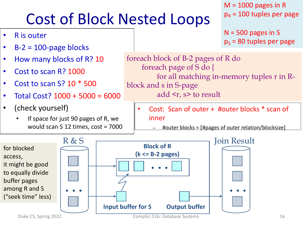# Cost of Block Nested Loops

- R is outer
- $B-2 = 100$ -page blocks
- How many blocks of R? 10
- Cost to scan R? 1000
- Cost to scan S? 10 \* 500
- Total Cost? 1000 + 5000 = 6000
- (check yourself)
	- If space for just 90 pages of R, we would scan S 12 times, cost = 7000

 $M = 1000$  pages in R  $p_R$  = 100 tuples per page

 $N = 500$  pages in S  $p_s$  = 80 tuples per page

foreach block of B-2 pages of R do foreach page of S do { for all matching in-memory tuples r in Rblock and s in S-page add  $\langle r, s \rangle$  to result

• Cost: Scan of outer + #outer blocks \* scan of inner



 $#outer blocks = [#pages of outer relation/blocksize]$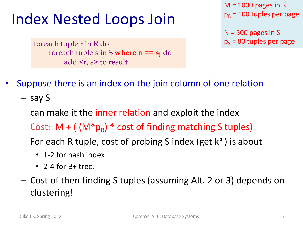#### Index Nested Loops Join

foreach tuple r in R do foreach tuple s in S **where ri == sj** do add <r, s> to result

 $M = 1000$  pages in R  $p_R$  = 100 tuples per page

 $N = 500$  pages in S  $p_s$  = 80 tuples per page

- Suppose there is an index on the join column of one relation
	- say S
	- can make it the inner relation and exploit the index
	- Cost:  $M + ( (M * p_R) * cost of finding matching S tuples)$
	- For each R tuple, cost of probing S index (get k\*) is about
		- 1-2 for hash index
		- 2-4 for B+ tree.
	- Cost of then finding S tuples (assuming Alt. 2 or 3) depends on clustering!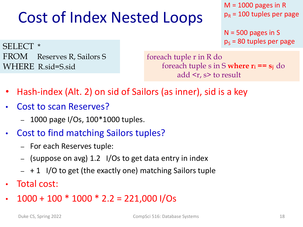### Cost of Index Nested Loops

 $M = 1000$  pages in R  $p_R$  = 100 tuples per page

 $N = 500$  pages in S  $p_s$  = 80 tuples per page

SELECT \* FROM Reserves R, Sailors S WHERE R.sid=S.sid

foreach tuple r in R do foreach tuple s in S **where ri == sj** do add  $\leq r$ , s> to result

- Hash-index (Alt. 2) on sid of Sailors (as inner), sid is a key
- Cost to scan Reserves?
	- 1000 page I/Os, 100\*1000 tuples.
- Cost to find matching Sailors tuples?
	- For each Reserves tuple:
	- (suppose on avg) 1.2 I/Os to get data entry in index
	- $-$  + 1 I/O to get (the exactly one) matching Sailors tuple
- Total cost:
- $1000 + 100 * 1000 * 2.2 = 221,000$  I/Os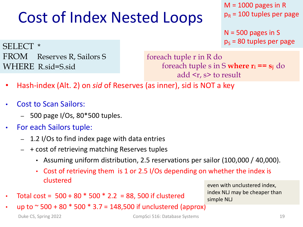### Cost of Index Nested Loops

 $M = 1000$  pages in R  $p_R$  = 100 tuples per page

 $N = 500$  pages in S  $p_s$  = 80 tuples per page

SELECT \* FROM Reserves R, Sailors S WHERE R.sid=S.sid

foreach tuple r in R do foreach tuple s in S **where ri == sj** do add <r, s> to result

- Hash-index (Alt. 2) on *sid* of Reserves (as inner), sid is NOT a key
- Cost to Scan Sailors:
	- $-$  500 page I/Os, 80 $*$ 500 tuples.
- For each Sailors tuple:
	- 1.2 I/Os to find index page with data entries
	- + cost of retrieving matching Reserves tuples
		- Assuming uniform distribution, 2.5 reservations per sailor (100,000 / 40,000).
		- Cost of retrieving them is 1 or 2.5 I/Os depending on whether the index is clustered
- Total cost =  $500 + 80 * 500 * 2.2 = 88$ , 500 if clustered

even with unclustered index, index NLJ may be cheaper than simple NLJ

up to  $\sim$  500 + 80  $*$  500  $*$  3.7 = 148,500 if unclustered (approx)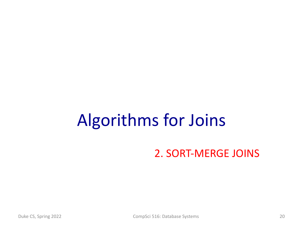# Algorithms for Joins

#### 2. SORT-MERGE JOINS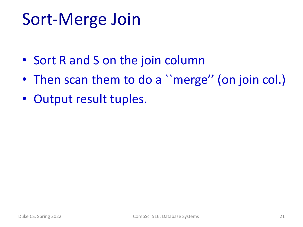# Sort-Merge Join

- Sort R and S on the join column
- Then scan them to do a "merge" (on join col.)
- Output result tuples.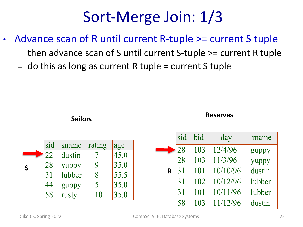### Sort-Merge Join: 1/3

- Advance scan of R until current R-tuple >= current S tuple
	- then advance scan of S until current S-tuple >= current R tuple
	- do this as long as current R tuple  $=$  current S tuple

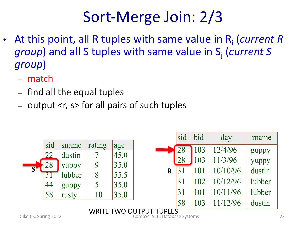### Sort-Merge Join: 2/3

- At this point, all R tuples with same value in Ri (*current R group*) and all S tuples with same value in S<sub>i</sub> (*current S group*)
	- match
	- find all the equal tuples
	- output <r, s> for all pairs of such tuples

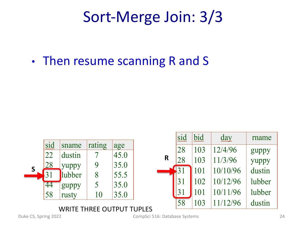#### Sort-Merge Join: 3/3

• Then resume scanning R and S

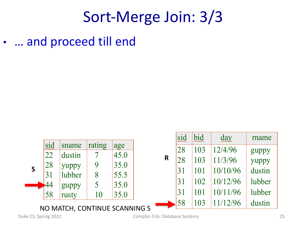#### Sort-Merge Join: 3/3

• … and proceed till end



Duke CS, Spring 2022 CompSci 516: Database Systems 25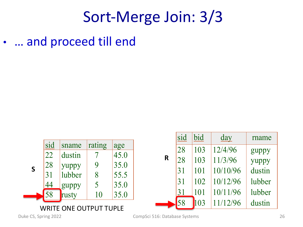#### Sort-Merge Join: 3/3

... and proceed till end

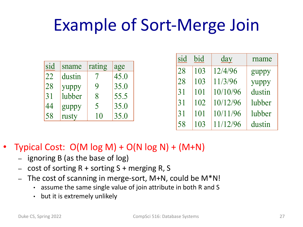# Example of Sort-Merge Join

| sid | sname  | rating | age  |
|-----|--------|--------|------|
| 22  | dustin |        | 45.0 |
| 28  | yuppy  | 9      | 35.0 |
| 31  | lubber | 8      | 55.5 |
| 44  | guppy  | 5      | 35.0 |
| 58  | rusty  | 10     | 35.0 |

| sid | bid | day      | rname  |
|-----|-----|----------|--------|
| 28  | 103 | 12/4/96  | guppy  |
| 28  | 103 | 11/3/96  | yuppy  |
| 31  | 101 | 10/10/96 | dustin |
| 31  | 102 | 10/12/96 | lubber |
| 31  | 101 | 10/11/96 | lubber |
| 58  | 103 | 11/12/96 | dustin |

#### Typical Cost:  $O(M \log M) + O(N \log N) + (M+N)$

- ignoring B (as the base of log)
- cost of sorting  $R$  + sorting S + merging R, S
- The cost of scanning in merge-sort, M+N, could be M\*N!
	- assume the same single value of join attribute in both R and S
	- but it is extremely unlikely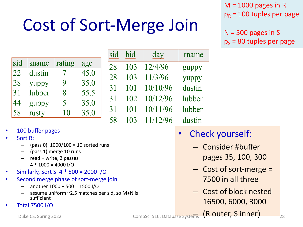# Cost of Sort-Merge Join

 $M = 1000$  pages in R  $p_R$  = 100 tuples per page

 $N = 500$  pages in S  $p_s$  = 80 tuples per page

| sid | sname  | rating | age  |
|-----|--------|--------|------|
| 22  | dustin |        | 45.0 |
| 28  | yuppy  | 9      | 35.0 |
| 31  | lubber | 8      | 55.5 |
| 44  | guppy  | 5      | 35.0 |
| 58  | rusty  | 10     | 35.0 |

| sid | bid | day      | rname  |
|-----|-----|----------|--------|
| 28  | 103 | 12/4/96  | guppy  |
| 28  | 103 | 11/3/96  | yuppy  |
| 31  | 101 | 10/10/96 | dustin |
| 31  | 102 | 10/12/96 | lubber |
| 31  | 101 | 10/11/96 | lubber |
| 58  | 103 | 11/12/96 | dustin |

#### • 100 buffer pages

- Sort R:
	- $-$  (pass 0) 1000/100 = 10 sorted runs
	- (pass 1) merge 10 runs
	- read + write, 2 passes
	- $4 * 1000 = 4000$  I/O
- Similarly, Sort S: 4 \* 500 = 2000 I/O
- Second merge phase of sort-merge join
	- another  $1000 + 500 = 1500$  I/O
	- assume uniform  $\sim$ 2.5 matches per sid, so M+N is sufficient
- Total 7500 I/O

Duke CS, Spring 2022 **Duke CompSci 516: Database Systems** (Router, Sinner) 28

- Check yourself:
	- Consider #buffer pages 35, 100, 300
	- Cost of sort-merge = 7500 in all three
	- Cost of block nested 16500, 6000, 3000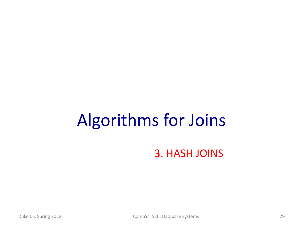# Algorithms for Joins

3. HASH JOINS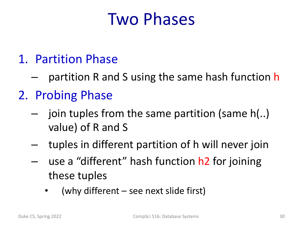### Two Phases

- 1. Partition Phase
	- partition R and S using the same hash function h
- 2. Probing Phase
	- join tuples from the same partition (same  $h(.)$ value) of R and S
	- tuples in different partition of h will never join
	- use a "different" hash function h2 for joining these tuples
		- (why different  $-$  see next slide first)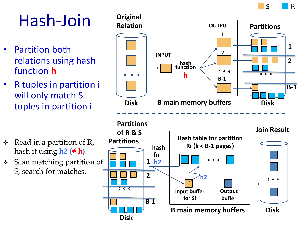

# Hash-Join

- Partition both relations using hash function **h**
- R tuples in partition i will only match S tuples in partition i

- $\triangleleft$  Read in a partition of R, hash it using **h2 (≠ h)**.
- Scan matching partition of S, search for matches.

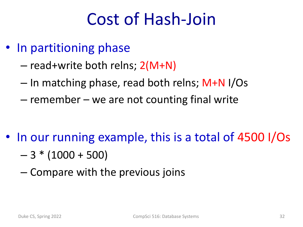# Cost of Hash-Join

- In partitioning phase
	- read+write both relns; 2(M+N)
	- In matching phase, read both relns; M+N I/Os
	- remember we are not counting final write

- In our running example, this is a total of 4500 I/Os
	- $-3 * (1000 + 500)$
	- Compare with the previous joins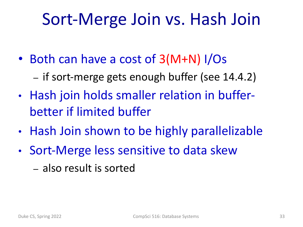# Sort-Merge Join vs. Hash Join

- Both can have a cost of 3(M+N) I/Os
	- if sort-merge gets enough buffer (see 14.4.2)
- Hash join holds smaller relation in bufferbetter if limited buffer
- Hash Join shown to be highly parallelizable
- Sort-Merge less sensitive to data skew
	- also result is sorted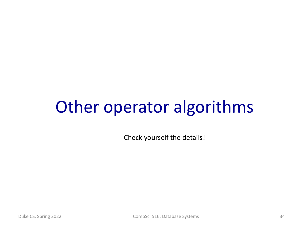# Other operator algorithms

Check yourself the details!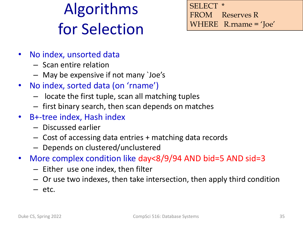# Algorithms for Selection

**SELECT** FROM Reserves R WHERE R.rname = 'Joe'

- No index, unsorted data
	- Scan entire relation
	- May be expensive if not many `Joe's
- No index, sorted data (on 'rname')
	- locate the first tuple, scan all matching tuples
	- first binary search, then scan depends on matches
- B+-tree index, Hash index
	- Discussed earlier
	- Cost of accessing data entries + matching data records
	- Depends on clustered/unclustered
- More complex condition like day<8/9/94 AND bid=5 AND sid=3
	- Either use one index, then filter
	- Or use two indexes, then take intersection, then apply third condition
	- etc.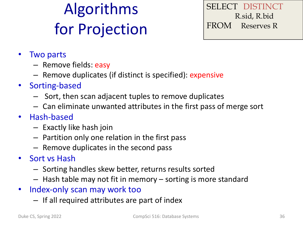# Algorithms for Projection

SELECT DISTINCT R.sid, R.bid FROM Reserves R

- Two parts
	- Remove fields: easy
	- Remove duplicates (if distinct is specified): expensive
- Sorting-based
	- Sort, then scan adjacent tuples to remove duplicates
	- Can eliminate unwanted attributes in the first pass of merge sort
- Hash-based
	- Exactly like hash join
	- Partition only one relation in the first pass
	- Remove duplicates in the second pass
- Sort vs Hash
	- Sorting handles skew better, returns results sorted
	- Hash table may not fit in memory sorting is more standard
- Index-only scan may work too
	- If all required attributes are part of index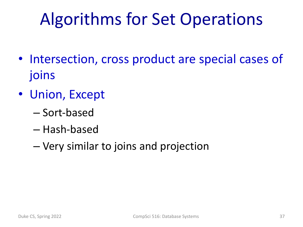# Algorithms for Set Operations

- Intersection, cross product are special cases of joins
- Union, Except
	- Sort-based
	- Hash-based
	- Very similar to joins and projection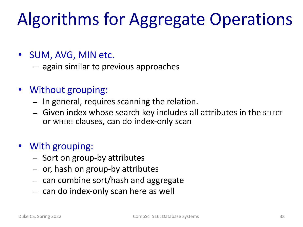# Algorithms for Aggregate Operations

- SUM, AVG, MIN etc.
	- again similar to previous approaches
- Without grouping:
	- In general, requires scanning the relation.
	- Given index whose search key includes all attributes in the SELECT or WHERE clauses, can do index-only scan
- With grouping:
	- Sort on group-by attributes
	- or, hash on group-by attributes
	- can combine sort/hash and aggregate
	- can do index-only scan here as well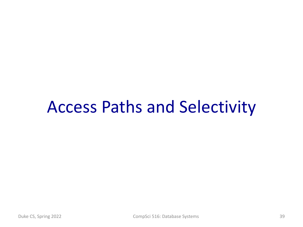#### Access Paths and Selectivity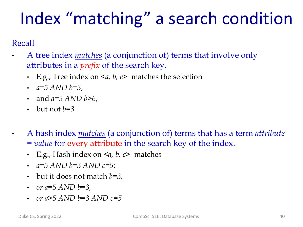# Index "matching" a search condition

Recall

- A tree index *matches* (a conjunction of) terms that involve only attributes in a *prefix* of the search key.
	- E.g., Tree index on <*a, b, c*> matches the selection
	- *a=5 AND b=3*,
	- and *a=5 AND b>6*,
	- $\cdot$  but not  $h=3$
	- A hash index *matches* (a conjunction of) terms that has a term *attribute = value* for every attribute in the search key of the index.
	- E.g., Hash index on <*a, b, c*> matches
	- *a=5 AND b=3 AND c=5*;
	- but it does not match *b=3,*
	- *or a=5 AND b=3,*
	- *or a>5 AND b=3 AND c=5*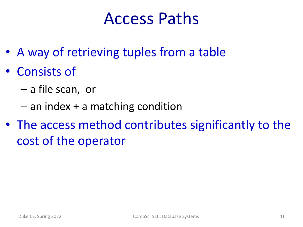### Access Paths

- A way of retrieving tuples from a table
- Consists of
	- a file scan, or
	- an index + a matching condition
- The access method contributes significantly to the cost of the operator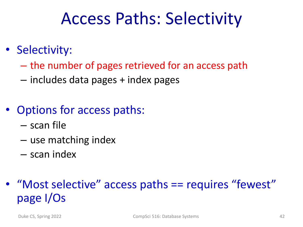### Access Paths: Selectivity

- Selectivity:
	- the number of pages retrieved for an access path
	- includes data pages + index pages
- Options for access paths:
	- scan file
	- use matching index
	- scan index

#### • "Most selective" access paths == requires "fewest" page I/Os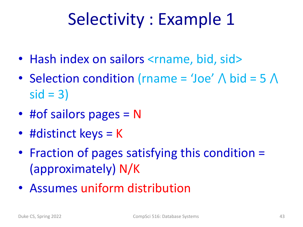# Selectivity : Example 1

- Hash index on sailors <rname, bid, sid>
- Selection condition (rname = 'Joe'  $\wedge$  bid = 5  $\wedge$  $sid = 3)$
- #of sailors pages = N
- #distinct keys = K
- Fraction of pages satisfying this condition = (approximately) N/K
- Assumes uniform distribution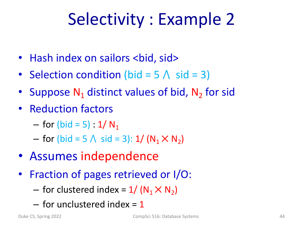# Selectivity : Example 2

- Hash index on sailors <bid, sid>
- Selection condition (bid =  $5 \land$  sid = 3)
- Suppose  $N_1$  distinct values of bid,  $N_2$  for sid
- Reduction factors
	- for (bid = 5) :  $1/N_1$
	- for (bid = 5  $\land$  sid = 3): 1/ (N<sub>1</sub>  $\times$  N<sub>2</sub>)
- Assumes independence
- Fraction of pages retrieved or I/O:
	- for clustered index =  $1/(N_1 \times N_2)$
	- $-$  for unclustered index  $= 1$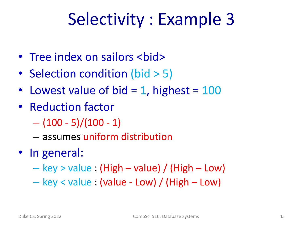# Selectivity : Example 3

- Tree index on sailors <bid>
- Selection condition (bid > 5)
- Lowest value of bid  $= 1$ , highest  $= 100$
- Reduction factor
	- $-$  (100 5)/(100 1)
	- assumes uniform distribution
- In general:
	- $-$  key  $>$  value : (High  $-$  value) / (High  $-$  Low)
	- key < value : (value Low) / (High Low)